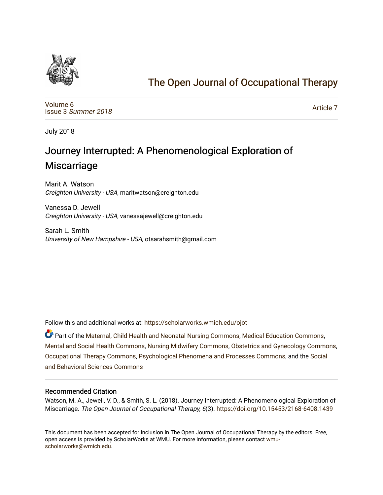

## [The Open Journal of Occupational Therapy](https://scholarworks.wmich.edu/ojot)

[Volume 6](https://scholarworks.wmich.edu/ojot/vol6) Issue 3 [Summer 2018](https://scholarworks.wmich.edu/ojot/vol6/iss3) 

[Article 7](https://scholarworks.wmich.edu/ojot/vol6/iss3/7) 

July 2018

# Journey Interrupted: A Phenomenological Exploration of **Miscarriage**

Marit A. Watson Creighton University - USA, maritwatson@creighton.edu

Vanessa D. Jewell Creighton University - USA, vanessajewell@creighton.edu

Sarah L. Smith University of New Hampshire - USA, otsarahsmith@gmail.com

Follow this and additional works at: [https://scholarworks.wmich.edu/ojot](https://scholarworks.wmich.edu/ojot?utm_source=scholarworks.wmich.edu%2Fojot%2Fvol6%2Fiss3%2F7&utm_medium=PDF&utm_campaign=PDFCoverPages)

Part of the [Maternal, Child Health and Neonatal Nursing Commons,](http://network.bepress.com/hgg/discipline/721?utm_source=scholarworks.wmich.edu%2Fojot%2Fvol6%2Fiss3%2F7&utm_medium=PDF&utm_campaign=PDFCoverPages) [Medical Education Commons,](http://network.bepress.com/hgg/discipline/1125?utm_source=scholarworks.wmich.edu%2Fojot%2Fvol6%2Fiss3%2F7&utm_medium=PDF&utm_campaign=PDFCoverPages) [Mental and Social Health Commons,](http://network.bepress.com/hgg/discipline/709?utm_source=scholarworks.wmich.edu%2Fojot%2Fvol6%2Fiss3%2F7&utm_medium=PDF&utm_campaign=PDFCoverPages) [Nursing Midwifery Commons](http://network.bepress.com/hgg/discipline/722?utm_source=scholarworks.wmich.edu%2Fojot%2Fvol6%2Fiss3%2F7&utm_medium=PDF&utm_campaign=PDFCoverPages), [Obstetrics and Gynecology Commons](http://network.bepress.com/hgg/discipline/693?utm_source=scholarworks.wmich.edu%2Fojot%2Fvol6%2Fiss3%2F7&utm_medium=PDF&utm_campaign=PDFCoverPages), [Occupational Therapy Commons](http://network.bepress.com/hgg/discipline/752?utm_source=scholarworks.wmich.edu%2Fojot%2Fvol6%2Fiss3%2F7&utm_medium=PDF&utm_campaign=PDFCoverPages), [Psychological Phenomena and Processes Commons](http://network.bepress.com/hgg/discipline/914?utm_source=scholarworks.wmich.edu%2Fojot%2Fvol6%2Fiss3%2F7&utm_medium=PDF&utm_campaign=PDFCoverPages), and the [Social](http://network.bepress.com/hgg/discipline/316?utm_source=scholarworks.wmich.edu%2Fojot%2Fvol6%2Fiss3%2F7&utm_medium=PDF&utm_campaign=PDFCoverPages)  [and Behavioral Sciences Commons](http://network.bepress.com/hgg/discipline/316?utm_source=scholarworks.wmich.edu%2Fojot%2Fvol6%2Fiss3%2F7&utm_medium=PDF&utm_campaign=PDFCoverPages) 

#### Recommended Citation

Watson, M. A., Jewell, V. D., & Smith, S. L. (2018). Journey Interrupted: A Phenomenological Exploration of Miscarriage. The Open Journal of Occupational Therapy, 6(3).<https://doi.org/10.15453/2168-6408.1439>

This document has been accepted for inclusion in The Open Journal of Occupational Therapy by the editors. Free, open access is provided by ScholarWorks at WMU. For more information, please contact [wmu](mailto:wmu-scholarworks@wmich.edu)[scholarworks@wmich.edu.](mailto:wmu-scholarworks@wmich.edu)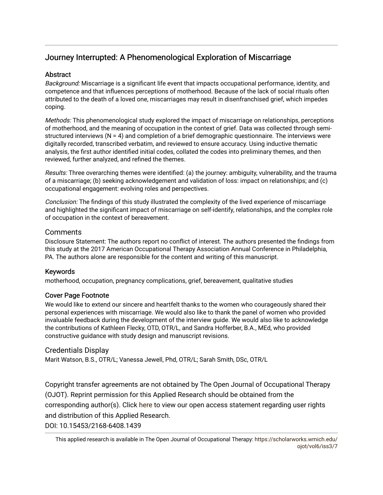## Journey Interrupted: A Phenomenological Exploration of Miscarriage

#### **Abstract**

Background: Miscarriage is a significant life event that impacts occupational performance, identity, and competence and that influences perceptions of motherhood. Because of the lack of social rituals often attributed to the death of a loved one, miscarriages may result in disenfranchised grief, which impedes coping.

Methods: This phenomenological study explored the impact of miscarriage on relationships, perceptions of motherhood, and the meaning of occupation in the context of grief. Data was collected through semistructured interviews  $(N = 4)$  and completion of a brief demographic questionnaire. The interviews were digitally recorded, transcribed verbatim, and reviewed to ensure accuracy. Using inductive thematic analysis, the first author identified initial codes, collated the codes into preliminary themes, and then reviewed, further analyzed, and refined the themes.

Results: Three overarching themes were identified: (a) the journey: ambiguity, vulnerability, and the trauma of a miscarriage; (b) seeking acknowledgement and validation of loss: impact on relationships; and (c) occupational engagement: evolving roles and perspectives.

Conclusion: The findings of this study illustrated the complexity of the lived experience of miscarriage and highlighted the significant impact of miscarriage on self-identify, relationships, and the complex role of occupation in the context of bereavement.

### **Comments**

Disclosure Statement: The authors report no conflict of interest. The authors presented the findings from this study at the 2017 American Occupational Therapy Association Annual Conference in Philadelphia, PA. The authors alone are responsible for the content and writing of this manuscript.

### Keywords

motherhood, occupation, pregnancy complications, grief, bereavement, qualitative studies

### Cover Page Footnote

We would like to extend our sincere and heartfelt thanks to the women who courageously shared their personal experiences with miscarriage. We would also like to thank the panel of women who provided invaluable feedback during the development of the interview guide. We would also like to acknowledge the contributions of Kathleen Flecky, OTD, OTR/L, and Sandra Hofferber, B.A., MEd, who provided constructive guidance with study design and manuscript revisions.

#### Credentials Display

Marit Watson, B.S., OTR/L; Vanessa Jewell, Phd, OTR/L; Sarah Smith, DSc, OTR/L

Copyright transfer agreements are not obtained by The Open Journal of Occupational Therapy (OJOT). Reprint permission for this Applied Research should be obtained from the corresponding author(s). Click [here](https://scholarworks.wmich.edu/ojot/policies.html#rights) to view our open access statement regarding user rights and distribution of this Applied Research.

DOI: 10.15453/2168-6408.1439

This applied research is available in The Open Journal of Occupational Therapy: [https://scholarworks.wmich.edu/](https://scholarworks.wmich.edu/ojot/vol6/iss3/7) [ojot/vol6/iss3/7](https://scholarworks.wmich.edu/ojot/vol6/iss3/7)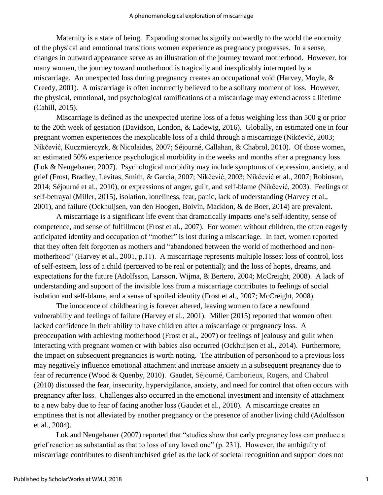Maternity is a state of being. Expanding stomachs signify outwardly to the world the enormity of the physical and emotional transitions women experience as pregnancy progresses. In a sense, changes in outward appearance serve as an illustration of the journey toward motherhood. However, for many women, the journey toward motherhood is tragically and inexplicably interrupted by a miscarriage. An unexpected loss during pregnancy creates an occupational void (Harvey, Moyle, & Creedy, 2001). A miscarriage is often incorrectly believed to be a solitary moment of loss. However, the physical, emotional, and psychological ramifications of a miscarriage may extend across a lifetime (Cahill, 2015).

Miscarriage is defined as the unexpected uterine loss of a fetus weighing less than 500 g or prior to the 20th week of gestation (Davidson, London, & Ladewig, 2016). Globally, an estimated one in four pregnant women experiences the inexplicable loss of a child through a miscarriage (Nikčević, 2003; Nikčević, Kuczmiercyzk, & Nicolaides, 2007; Séjourné, Callahan, & Chabrol, 2010). Of those women, an estimated 50% experience psychological morbidity in the weeks and months after a pregnancy loss (Lok & Neugebauer, 2007). Psychological morbidity may include symptoms of depression, anxiety, and grief (Frost, Bradley, Levitas, Smith, & Garcia, 2007; Nikčević, 2003; Nikčević et al., 2007; Robinson, 2014; Séjourné et al., 2010), or expressions of anger, guilt, and self-blame (Nikčević, 2003). Feelings of self-betrayal (Miller, 2015), isolation, loneliness, fear, panic, lack of understanding (Harvey et al., 2001), and failure (Ockhuijsen, van den Hoogen, Boivin, Macklon, & de Boer, 2014) are prevalent.

A miscarriage is a significant life event that dramatically impacts one's self-identity, sense of competence, and sense of fulfillment (Frost et al., 2007). For women without children, the often eagerly anticipated identity and occupation of "mother" is lost during a miscarriage. In fact, women reported that they often felt forgotten as mothers and "abandoned between the world of motherhood and nonmotherhood" (Harvey et al., 2001, p.11). A miscarriage represents multiple losses: loss of control, loss of self-esteem, loss of a child (perceived to be real or potential); and the loss of hopes, dreams, and expectations for the future (Adolfsson, Larsson, Wijma, & Bertero, 2004; McCreight, 2008). A lack of understanding and support of the invisible loss from a miscarriage contributes to feelings of social isolation and self-blame, and a sense of spoiled identity (Frost et al., 2007; McCreight, 2008).

The innocence of childbearing is forever altered, leaving women to face a newfound vulnerability and feelings of failure (Harvey et al., 2001). Miller (2015) reported that women often lacked confidence in their ability to have children after a miscarriage or pregnancy loss. A preoccupation with achieving motherhood (Frost et al., 2007) or feelings of jealousy and guilt when interacting with pregnant women or with babies also occurred (Ockhuijsen et al., 2014). Furthermore, the impact on subsequent pregnancies is worth noting. The attribution of personhood to a previous loss may negatively influence emotional attachment and increase anxiety in a subsequent pregnancy due to fear of recurrence (Wood & Quenby, 2010). Gaudet, Séjourné, Camborieux, Rogers, and Chabrol (2010) discussed the fear, insecurity, hypervigilance, anxiety, and need for control that often occurs with pregnancy after loss. Challenges also occurred in the emotional investment and intensity of attachment to a new baby due to fear of facing another loss (Gaudet et al., 2010). A miscarriage creates an emptiness that is not alleviated by another pregnancy or the presence of another living child (Adolfsson et al., 2004).

Lok and Neugebauer (2007) reported that "studies show that early pregnancy loss can produce a grief reaction as substantial as that to loss of any loved one" (p. 231). However, the ambiguity of miscarriage contributes to disenfranchised grief as the lack of societal recognition and support does not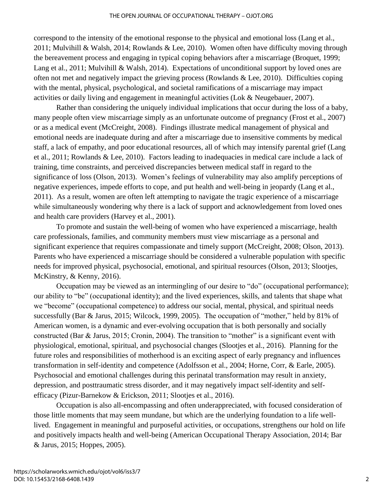correspond to the intensity of the emotional response to the physical and emotional loss (Lang et al., 2011; Mulvihill & Walsh, 2014; Rowlands & Lee, 2010). Women often have difficulty moving through the bereavement process and engaging in typical coping behaviors after a miscarriage (Broquet, 1999; Lang et al., 2011; Mulvihill & Walsh, 2014). Expectations of unconditional support by loved ones are often not met and negatively impact the grieving process (Rowlands & Lee, 2010). Difficulties coping with the mental, physical, psychological, and societal ramifications of a miscarriage may impact activities or daily living and engagement in meaningful activities (Lok & Neugebauer, 2007).

Rather than considering the uniquely individual implications that occur during the loss of a baby, many people often view miscarriage simply as an unfortunate outcome of pregnancy (Frost et al., 2007) or as a medical event (McCreight, 2008). Findings illustrate medical management of physical and emotional needs are inadequate during and after a miscarriage due to insensitive comments by medical staff, a lack of empathy, and poor educational resources, all of which may intensify parental grief (Lang et al., 2011; Rowlands & Lee, 2010). Factors leading to inadequacies in medical care include a lack of training, time constraints, and perceived discrepancies between medical staff in regard to the significance of loss (Olson, 2013). Women's feelings of vulnerability may also amplify perceptions of negative experiences, impede efforts to cope, and put health and well-being in jeopardy (Lang et al., 2011). As a result, women are often left attempting to navigate the tragic experience of a miscarriage while simultaneously wondering why there is a lack of support and acknowledgement from loved ones and health care providers (Harvey et al., 2001).

To promote and sustain the well-being of women who have experienced a miscarriage, health care professionals, families, and community members must view miscarriage as a personal and significant experience that requires compassionate and timely support (McCreight, 2008; Olson, 2013). Parents who have experienced a miscarriage should be considered a vulnerable population with specific needs for improved physical, psychosocial, emotional, and spiritual resources (Olson, 2013; Slootjes, McKinstry, & Kenny, 2016).

Occupation may be viewed as an intermingling of our desire to "do" (occupational performance); our ability to "be" (occupational identity); and the lived experiences, skills, and talents that shape what we "become" (occupational competence) to address our social, mental, physical, and spiritual needs successfully (Bar & Jarus, 2015; Wilcock, 1999, 2005). The occupation of "mother," held by 81% of American women, is a dynamic and ever-evolving occupation that is both personally and socially constructed (Bar & Jarus, 2015; Cronin, 2004). The transition to "mother" is a significant event with physiological, emotional, spiritual, and psychosocial changes (Slootjes et al., 2016). Planning for the future roles and responsibilities of motherhood is an exciting aspect of early pregnancy and influences transformation in self-identity and competence (Adolfsson et al., 2004; Horne, Corr, & Earle, 2005). Psychosocial and emotional challenges during this perinatal transformation may result in anxiety, depression, and posttraumatic stress disorder, and it may negatively impact self-identity and selfefficacy (Pizur-Barnekow & Erickson, 2011; Slootjes et al., 2016).

Occupation is also all-encompassing and often underappreciated, with focused consideration of those little moments that may seem mundane, but which are the underlying foundation to a life welllived. Engagement in meaningful and purposeful activities, or occupations, strengthens our hold on life and positively impacts health and well-being (American Occupational Therapy Association, 2014; Bar & Jarus, 2015; Hoppes, 2005).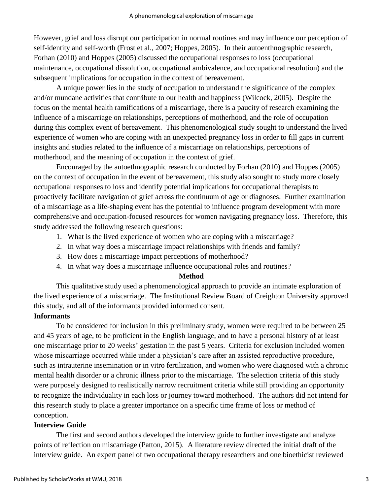However, grief and loss disrupt our participation in normal routines and may influence our perception of self-identity and self-worth (Frost et al., 2007; Hoppes, 2005). In their autoenthnographic research, Forhan (2010) and Hoppes (2005) discussed the occupational responses to loss (occupational maintenance, occupational dissolution, occupational ambivalence, and occupational resolution) and the subsequent implications for occupation in the context of bereavement.

A unique power lies in the study of occupation to understand the significance of the complex and/or mundane activities that contribute to our health and happiness (Wilcock, 2005). Despite the focus on the mental health ramifications of a miscarriage, there is a paucity of research examining the influence of a miscarriage on relationships, perceptions of motherhood, and the role of occupation during this complex event of bereavement. This phenomenological study sought to understand the lived experience of women who are coping with an unexpected pregnancy loss in order to fill gaps in current insights and studies related to the influence of a miscarriage on relationships, perceptions of motherhood, and the meaning of occupation in the context of grief.

Encouraged by the autoethnographic research conducted by Forhan (2010) and Hoppes (2005) on the context of occupation in the event of bereavement, this study also sought to study more closely occupational responses to loss and identify potential implications for occupational therapists to proactively facilitate navigation of grief across the continuum of age or diagnoses. Further examination of a miscarriage as a life-shaping event has the potential to influence program development with more comprehensive and occupation-focused resources for women navigating pregnancy loss. Therefore, this study addressed the following research questions:

- 1. What is the lived experience of women who are coping with a miscarriage?
- 2. In what way does a miscarriage impact relationships with friends and family?
- 3. How does a miscarriage impact perceptions of motherhood?
- 4. In what way does a miscarriage influence occupational roles and routines?

#### **Method**

This qualitative study used a phenomenological approach to provide an intimate exploration of the lived experience of a miscarriage. The Institutional Review Board of Creighton University approved this study, and all of the informants provided informed consent.

### **Informants**

To be considered for inclusion in this preliminary study, women were required to be between 25 and 45 years of age, to be proficient in the English language, and to have a personal history of at least one miscarriage prior to 20 weeks' gestation in the past 5 years. Criteria for exclusion included women whose miscarriage occurred while under a physician's care after an assisted reproductive procedure, such as intrauterine insemination or in vitro fertilization, and women who were diagnosed with a chronic mental health disorder or a chronic illness prior to the miscarriage. The selection criteria of this study were purposely designed to realistically narrow recruitment criteria while still providing an opportunity to recognize the individuality in each loss or journey toward motherhood. The authors did not intend for this research study to place a greater importance on a specific time frame of loss or method of conception.

### **Interview Guide**

The first and second authors developed the interview guide to further investigate and analyze points of reflection on miscarriage (Patton, 2015). A literature review directed the initial draft of the interview guide. An expert panel of two occupational therapy researchers and one bioethicist reviewed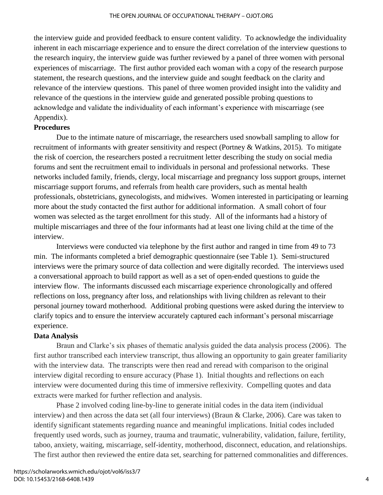the interview guide and provided feedback to ensure content validity. To acknowledge the individuality inherent in each miscarriage experience and to ensure the direct correlation of the interview questions to the research inquiry, the interview guide was further reviewed by a panel of three women with personal experiences of miscarriage. The first author provided each woman with a copy of the research purpose statement, the research questions, and the interview guide and sought feedback on the clarity and relevance of the interview questions. This panel of three women provided insight into the validity and relevance of the questions in the interview guide and generated possible probing questions to acknowledge and validate the individuality of each informant's experience with miscarriage (see Appendix).

#### **Procedures**

Due to the intimate nature of miscarriage, the researchers used snowball sampling to allow for recruitment of informants with greater sensitivity and respect (Portney & Watkins, 2015). To mitigate the risk of coercion, the researchers posted a recruitment letter describing the study on social media forums and sent the recruitment email to individuals in personal and professional networks. These networks included family, friends, clergy, local miscarriage and pregnancy loss support groups, internet miscarriage support forums, and referrals from health care providers, such as mental health professionals, obstetricians, gynecologists, and midwives. Women interested in participating or learning more about the study contacted the first author for additional information. A small cohort of four women was selected as the target enrollment for this study. All of the informants had a history of multiple miscarriages and three of the four informants had at least one living child at the time of the interview.

Interviews were conducted via telephone by the first author and ranged in time from 49 to 73 min. The informants completed a brief demographic questionnaire (see Table 1). Semi-structured interviews were the primary source of data collection and were digitally recorded. The interviews used a conversational approach to build rapport as well as a set of open-ended questions to guide the interview flow. The informants discussed each miscarriage experience chronologically and offered reflections on loss, pregnancy after loss, and relationships with living children as relevant to their personal journey toward motherhood. Additional probing questions were asked during the interview to clarify topics and to ensure the interview accurately captured each informant's personal miscarriage experience.

### **Data Analysis**

Braun and Clarke's six phases of thematic analysis guided the data analysis process (2006). The first author transcribed each interview transcript, thus allowing an opportunity to gain greater familiarity with the interview data. The transcripts were then read and reread with comparison to the original interview digital recording to ensure accuracy (Phase 1). Initial thoughts and reflections on each interview were documented during this time of immersive reflexivity. Compelling quotes and data extracts were marked for further reflection and analysis.

Phase 2 involved coding line-by-line to generate initial codes in the data item (individual interview) and then across the data set (all four interviews) (Braun & Clarke, 2006). Care was taken to identify significant statements regarding nuance and meaningful implications. Initial codes included frequently used words, such as journey, trauma and traumatic, vulnerability, validation, failure, fertility, taboo, anxiety, waiting, miscarriage, self-identity, motherhood, disconnect, education, and relationships. The first author then reviewed the entire data set, searching for patterned commonalities and differences.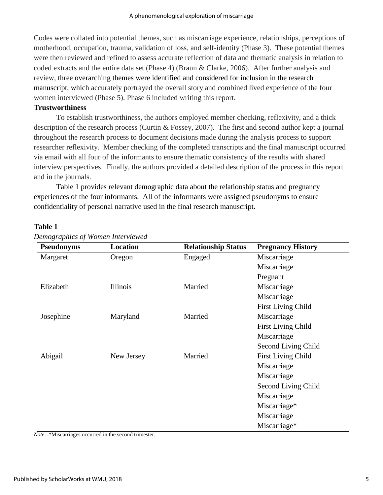Codes were collated into potential themes, such as miscarriage experience, relationships, perceptions of motherhood, occupation, trauma, validation of loss, and self-identity (Phase 3). These potential themes were then reviewed and refined to assess accurate reflection of data and thematic analysis in relation to coded extracts and the entire data set (Phase 4) (Braun & Clarke, 2006). After further analysis and review, three overarching themes were identified and considered for inclusion in the research manuscript, which accurately portrayed the overall story and combined lived experience of the four women interviewed (Phase 5). Phase 6 included writing this report.

#### **Trustworthiness**

To establish trustworthiness, the authors employed member checking, reflexivity, and a thick description of the research process (Curtin & Fossey, 2007). The first and second author kept a journal throughout the research process to document decisions made during the analysis process to support researcher reflexivity. Member checking of the completed transcripts and the final manuscript occurred via email with all four of the informants to ensure thematic consistency of the results with shared interview perspectives. Finally, the authors provided a detailed description of the process in this report and in the journals.

Table 1 provides relevant demographic data about the relationship status and pregnancy experiences of the four informants. All of the informants were assigned pseudonyms to ensure confidentiality of personal narrative used in the final research manuscript.

#### **Table 1**

| <b>Pseudonyms</b> | Location   | <b>Relationship Status</b> | <b>Pregnancy History</b>  |
|-------------------|------------|----------------------------|---------------------------|
| Margaret          | Oregon     | Engaged                    | Miscarriage               |
|                   |            |                            | Miscarriage               |
|                   |            |                            | Pregnant                  |
| Elizabeth         | Illinois   | Married                    | Miscarriage               |
|                   |            |                            | Miscarriage               |
|                   |            |                            | <b>First Living Child</b> |
| Josephine         | Maryland   | Married                    | Miscarriage               |
|                   |            |                            | <b>First Living Child</b> |
|                   |            |                            | Miscarriage               |
|                   |            |                            | Second Living Child       |
| Abigail           | New Jersey | Married                    | <b>First Living Child</b> |
|                   |            |                            | Miscarriage               |
|                   |            |                            | Miscarriage               |
|                   |            |                            | Second Living Child       |
|                   |            |                            | Miscarriage               |
|                   |            |                            | Miscarriage*              |
|                   |            |                            | Miscarriage               |
|                   |            |                            | Miscarriage*              |

*Demographics of Women Interviewed*

*Note*. \*Miscarriages occurred in the second trimester.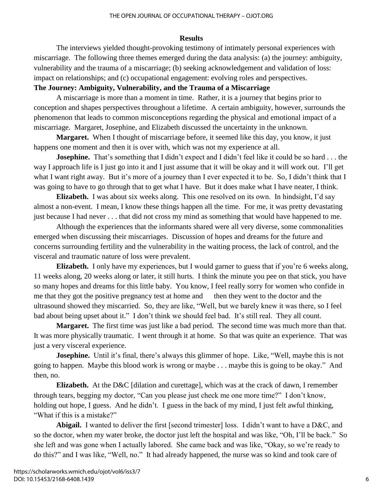#### **Results**

The interviews yielded thought-provoking testimony of intimately personal experiences with miscarriage. The following three themes emerged during the data analysis: (a) the journey: ambiguity, vulnerability and the trauma of a miscarriage; (b) seeking acknowledgement and validation of loss: impact on relationships; and (c) occupational engagement: evolving roles and perspectives.

#### **The Journey: Ambiguity, Vulnerability, and the Trauma of a Miscarriage**

A miscarriage is more than a moment in time. Rather, it is a journey that begins prior to conception and shapes perspectives throughout a lifetime. A certain ambiguity, however, surrounds the phenomenon that leads to common misconceptions regarding the physical and emotional impact of a miscarriage. Margaret, Josephine, and Elizabeth discussed the uncertainty in the unknown.

**Margaret.** When I thought of miscarriage before, it seemed like this day, you know, it just happens one moment and then it is over with, which was not my experience at all.

**Josephine.** That's something that I didn't expect and I didn't feel like it could be so hard . . . the way I approach life is I just go into it and I just assume that it will be okay and it will work out. I'll get what I want right away. But it's more of a journey than I ever expected it to be. So, I didn't think that I was going to have to go through that to get what I have. But it does make what I have neater, I think.

**Elizabeth.** I was about six weeks along. This one resolved on its own. In hindsight, I'd say almost a non-event. I mean, I know these things happen all the time. For me, it was pretty devastating just because I had never . . . that did not cross my mind as something that would have happened to me.

Although the experiences that the informants shared were all very diverse, some commonalities emerged when discussing their miscarriages. Discussion of hopes and dreams for the future and concerns surrounding fertility and the vulnerability in the waiting process, the lack of control, and the visceral and traumatic nature of loss were prevalent.

**Elizabeth.** I only have my experiences, but I would garner to guess that if you're 6 weeks along, 11 weeks along, 20 weeks along or later, it still hurts. I think the minute you pee on that stick, you have so many hopes and dreams for this little baby. You know, I feel really sorry for women who confide in me that they got the positive pregnancy test at home and then they went to the doctor and the ultrasound showed they miscarried. So, they are like, "Well, but we barely knew it was there, so I feel bad about being upset about it." I don't think we should feel bad. It's still real. They all count.

**Margaret.** The first time was just like a bad period. The second time was much more than that. It was more physically traumatic. I went through it at home. So that was quite an experience. That was just a very visceral experience.

**Josephine.** Until it's final, there's always this glimmer of hope. Like, "Well, maybe this is not going to happen. Maybe this blood work is wrong or maybe . . . maybe this is going to be okay." And then, no.

**Elizabeth.** At the D&C [dilation and curettage], which was at the crack of dawn, I remember through tears, begging my doctor, "Can you please just check me one more time?" I don't know, holding out hope, I guess. And he didn't. I guess in the back of my mind, I just felt awful thinking, "What if this is a mistake?"

**Abigail.** I wanted to deliver the first [second trimester] loss. I didn't want to have a D&C, and so the doctor, when my water broke, the doctor just left the hospital and was like, "Oh, I'll be back." So she left and was gone when I actually labored. She came back and was like, "Okay, so we're ready to do this?" and I was like, "Well, no." It had already happened, the nurse was so kind and took care of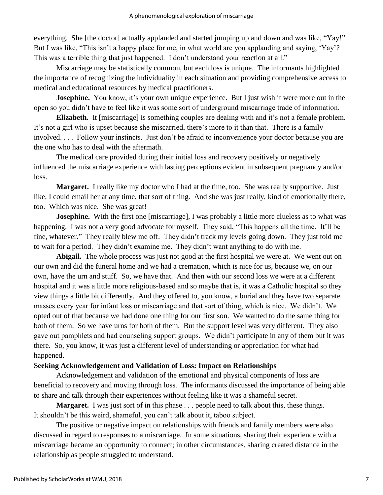everything. She [the doctor] actually applauded and started jumping up and down and was like, "Yay!" But I was like, "This isn't a happy place for me, in what world are you applauding and saying, 'Yay'? This was a terrible thing that just happened. I don't understand your reaction at all."

Miscarriage may be statistically common, but each loss is unique. The informants highlighted the importance of recognizing the individuality in each situation and providing comprehensive access to medical and educational resources by medical practitioners.

**Josephine.** You know, it's your own unique experience. But I just wish it were more out in the open so you didn't have to feel like it was some sort of underground miscarriage trade of information.

**Elizabeth.** It [miscarriage] is something couples are dealing with and it's not a female problem. It's not a girl who is upset because she miscarried, there's more to it than that. There is a family involved. . . . Follow your instincts. Just don't be afraid to inconvenience your doctor because you are the one who has to deal with the aftermath.

The medical care provided during their initial loss and recovery positively or negatively influenced the miscarriage experience with lasting perceptions evident in subsequent pregnancy and/or loss.

**Margaret.** I really like my doctor who I had at the time, too. She was really supportive. Just like, I could email her at any time, that sort of thing. And she was just really, kind of emotionally there, too. Which was nice. She was great!

**Josephine.** With the first one [miscarriage], I was probably a little more clueless as to what was happening. I was not a very good advocate for myself. They said, "This happens all the time. It'll be fine, whatever." They really blew me off. They didn't track my levels going down. They just told me to wait for a period. They didn't examine me. They didn't want anything to do with me.

Abigail. The whole process was just not good at the first hospital we were at. We went out on our own and did the funeral home and we had a cremation, which is nice for us, because we, on our own, have the urn and stuff. So, we have that. And then with our second loss we were at a different hospital and it was a little more religious-based and so maybe that is, it was a Catholic hospital so they view things a little bit differently. And they offered to, you know, a burial and they have two separate masses every year for infant loss or miscarriage and that sort of thing, which is nice. We didn't. We opted out of that because we had done one thing for our first son. We wanted to do the same thing for both of them. So we have urns for both of them. But the support level was very different. They also gave out pamphlets and had counseling support groups. We didn't participate in any of them but it was there. So, you know, it was just a different level of understanding or appreciation for what had happened.

### **Seeking Acknowledgement and Validation of Loss: Impact on Relationships**

Acknowledgement and validation of the emotional and physical components of loss are beneficial to recovery and moving through loss. The informants discussed the importance of being able to share and talk through their experiences without feeling like it was a shameful secret.

**Margaret.** I was just sort of in this phase . . . people need to talk about this, these things. It shouldn't be this weird, shameful, you can't talk about it, taboo subject.

The positive or negative impact on relationships with friends and family members were also discussed in regard to responses to a miscarriage. In some situations, sharing their experience with a miscarriage became an opportunity to connect; in other circumstances, sharing created distance in the relationship as people struggled to understand.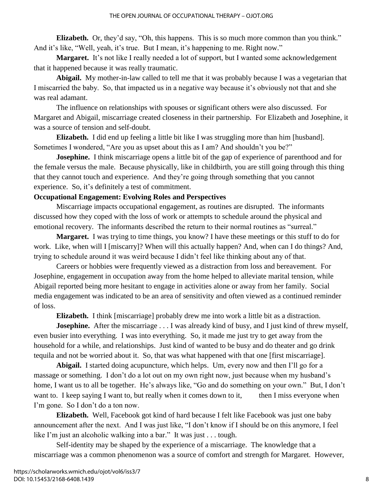**Elizabeth.** Or, they'd say, "Oh, this happens. This is so much more common than you think." And it's like, "Well, yeah, it's true. But I mean, it's happening to me. Right now."

**Margaret.** It's not like I really needed a lot of support, but I wanted some acknowledgement that it happened because it was really traumatic.

**Abigail.** My mother-in-law called to tell me that it was probably because I was a vegetarian that I miscarried the baby. So, that impacted us in a negative way because it's obviously not that and she was real adamant.

The influence on relationships with spouses or significant others were also discussed. For Margaret and Abigail, miscarriage created closeness in their partnership. For Elizabeth and Josephine, it was a source of tension and self-doubt.

**Elizabeth.** I did end up feeling a little bit like I was struggling more than him [husband]. Sometimes I wondered, "Are you as upset about this as I am? And shouldn't you be?"

**Josephine.** I think miscarriage opens a little bit of the gap of experience of parenthood and for the female versus the male. Because physically, like in childbirth, you are still going through this thing that they cannot touch and experience. And they're going through something that you cannot experience. So, it's definitely a test of commitment.

#### **Occupational Engagement: Evolving Roles and Perspectives**

Miscarriage impacts occupational engagement, as routines are disrupted. The informants discussed how they coped with the loss of work or attempts to schedule around the physical and emotional recovery. The informants described the return to their normal routines as "surreal."

**Margaret.** I was trying to time things, you know? I have these meetings or this stuff to do for work. Like, when will I [miscarry]? When will this actually happen? And, when can I do things? And, trying to schedule around it was weird because I didn't feel like thinking about any of that.

Careers or hobbies were frequently viewed as a distraction from loss and bereavement. For Josephine, engagement in occupation away from the home helped to alleviate marital tension, while Abigail reported being more hesitant to engage in activities alone or away from her family. Social media engagement was indicated to be an area of sensitivity and often viewed as a continued reminder of loss.

**Elizabeth.** I think [miscarriage] probably drew me into work a little bit as a distraction.

**Josephine.** After the miscarriage . . . I was already kind of busy, and I just kind of threw myself, even busier into everything. I was into everything. So, it made me just try to get away from the household for a while, and relationships. Just kind of wanted to be busy and do theater and go drink tequila and not be worried about it. So, that was what happened with that one [first miscarriage].

**Abigail.** I started doing acupuncture, which helps. Um, every now and then I'll go for a massage or something. I don't do a lot out on my own right now, just because when my husband's home, I want us to all be together. He's always like, "Go and do something on your own." But, I don't want to. I keep saying I want to, but really when it comes down to it, then I miss everyone when I'm gone. So I don't do a ton now.

**Elizabeth.** Well, Facebook got kind of hard because I felt like Facebook was just one baby announcement after the next. And I was just like, "I don't know if I should be on this anymore, I feel like I'm just an alcoholic walking into a bar." It was just . . . tough.

Self-identity may be shaped by the experience of a miscarriage. The knowledge that a miscarriage was a common phenomenon was a source of comfort and strength for Margaret. However,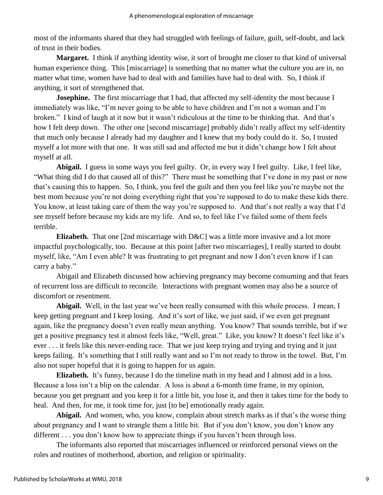most of the informants shared that they had struggled with feelings of failure, guilt, self-doubt, and lack of trust in their bodies.

**Margaret.** I think if anything identity wise, it sort of brought me closer to that kind of universal human experience thing. This [miscarriage] is something that no matter what the culture you are in, no matter what time, women have had to deal with and families have had to deal with. So, I think if anything, it sort of strengthened that.

**Josephine.** The first miscarriage that I had, that affected my self-identity the most because I immediately was like, "I'm never going to be able to have children and I'm not a woman and I'm broken." I kind of laugh at it now but it wasn't ridiculous at the time to be thinking that. And that's how I felt deep down. The other one [second miscarriage] probably didn't really affect my self-identity that much only because I already had my daughter and I knew that my body could do it. So, I trusted myself a lot more with that one. It was still sad and affected me but it didn't change how I felt about myself at all.

**Abigail.** I guess in some ways you feel guilty. Or, in every way I feel guilty. Like, I feel like, "What thing did I do that caused all of this?" There must be something that I've done in my past or now that's causing this to happen. So, I think, you feel the guilt and then you feel like you're maybe not the best mom because you're not doing everything right that you're supposed to do to make these kids there. You know, at least taking care of them the way you're supposed to. And that's not really a way that I'd see myself before because my kids are my life. And so, to feel like I've failed some of them feels terrible.

**Elizabeth.** That one [2nd miscarriage with D&C] was a little more invasive and a lot more impactful psychologically, too. Because at this point [after two miscarriages], I really started to doubt myself, like, "Am I even able? It was frustrating to get pregnant and now I don't even know if I can carry a baby."

Abigail and Elizabeth discussed how achieving pregnancy may become consuming and that fears of recurrent loss are difficult to reconcile. Interactions with pregnant women may also be a source of discomfort or resentment.

Abigail. Well, in the last year we've been really consumed with this whole process. I mean, I keep getting pregnant and I keep losing. And it's sort of like, we just said, if we even get pregnant again, like the pregnancy doesn't even really mean anything. You know? That sounds terrible, but if we get a positive pregnancy test it almost feels like, "Well, great." Like, you know? It doesn't feel like it's ever . . . it feels like this never-ending race. That we just keep trying and trying and trying and it just keeps failing. It's something that I still really want and so I'm not ready to throw in the towel. But, I'm also not super hopeful that it is going to happen for us again.

**Elizabeth.** It's funny, because I do the timeline math in my head and I almost add in a loss. Because a loss isn't a blip on the calendar. A loss is about a 6-month time frame, in my opinion, because you get pregnant and you keep it for a little bit, you lose it, and then it takes time for the body to heal. And then, for me, it took time for, just [to be] emotionally ready again.

**Abigail.** And women, who, you know, complain about stretch marks as if that's the worse thing about pregnancy and I want to strangle them a little bit. But if you don't know, you don't know any different . . . you don't know how to appreciate things if you haven't been through loss.

The informants also reported that miscarriages influenced or reinforced personal views on the roles and routines of motherhood, abortion, and religion or spirituality.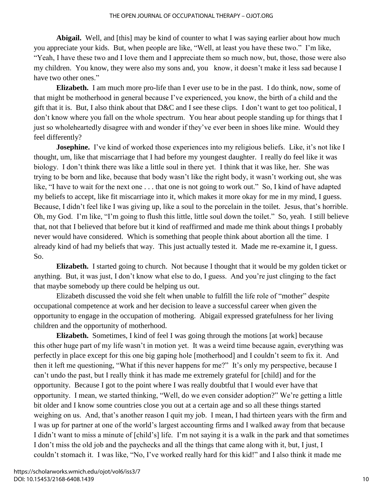Abigail. Well, and [this] may be kind of counter to what I was saying earlier about how much you appreciate your kids. But, when people are like, "Well, at least you have these two." I'm like, "Yeah, I have these two and I love them and I appreciate them so much now, but, those, those were also my children. You know, they were also my sons and, you know, it doesn't make it less sad because I have two other ones."

**Elizabeth.** I am much more pro-life than I ever use to be in the past. I do think, now, some of that might be motherhood in general because I've experienced, you know, the birth of a child and the gift that it is. But, I also think about that D&C and I see these clips. I don't want to get too political, I don't know where you fall on the whole spectrum. You hear about people standing up for things that I just so wholeheartedly disagree with and wonder if they've ever been in shoes like mine. Would they feel differently?

**Josephine.** I've kind of worked those experiences into my religious beliefs. Like, it's not like I thought, um, like that miscarriage that I had before my youngest daughter. I really do feel like it was biology. I don't think there was like a little soul in there yet. I think that it was like, her. She was trying to be born and like, because that body wasn't like the right body, it wasn't working out, she was like, "I have to wait for the next one . . . that one is not going to work out." So, I kind of have adapted my beliefs to accept, like fit miscarriage into it, which makes it more okay for me in my mind, I guess. Because, I didn't feel like I was giving up, like a soul to the porcelain in the toilet. Jesus, that's horrible. Oh, my God. I'm like, "I'm going to flush this little, little soul down the toilet." So, yeah. I still believe that, not that I believed that before but it kind of reaffirmed and made me think about things I probably never would have considered. Which is something that people think about abortion all the time. I already kind of had my beliefs that way. This just actually tested it. Made me re-examine it, I guess. So.

**Elizabeth.** I started going to church. Not because I thought that it would be my golden ticket or anything. But, it was just, I don't know what else to do, I guess. And you're just clinging to the fact that maybe somebody up there could be helping us out.

Elizabeth discussed the void she felt when unable to fulfill the life role of "mother" despite occupational competence at work and her decision to leave a successful career when given the opportunity to engage in the occupation of mothering. Abigail expressed gratefulness for her living children and the opportunity of motherhood.

**Elizabeth.** Sometimes, I kind of feel I was going through the motions [at work] because this other huge part of my life wasn't in motion yet. It was a weird time because again, everything was perfectly in place except for this one big gaping hole [motherhood] and I couldn't seem to fix it. And then it left me questioning, "What if this never happens for me?" It's only my perspective, because I can't undo the past, but I really think it has made me extremely grateful for [child] and for the opportunity. Because I got to the point where I was really doubtful that I would ever have that opportunity. I mean, we started thinking, "Well, do we even consider adoption?" We're getting a little bit older and I know some countries close you out at a certain age and so all these things started weighing on us. And, that's another reason I quit my job. I mean, I had thirteen years with the firm and I was up for partner at one of the world's largest accounting firms and I walked away from that because I didn't want to miss a minute of [child's] life. I'm not saying it is a walk in the park and that sometimes I don't miss the old job and the paychecks and all the things that came along with it, but, I just, I couldn't stomach it. I was like, "No, I've worked really hard for this kid!" and I also think it made me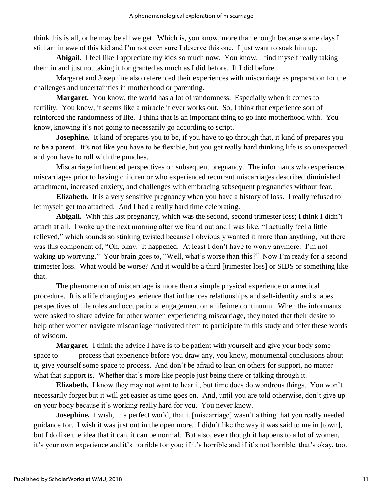think this is all, or he may be all we get. Which is, you know, more than enough because some days I still am in awe of this kid and I'm not even sure I deserve this one. I just want to soak him up.

Abigail. I feel like I appreciate my kids so much now. You know, I find myself really taking them in and just not taking it for granted as much as I did before. If I did before.

Margaret and Josephine also referenced their experiences with miscarriage as preparation for the challenges and uncertainties in motherhood or parenting.

**Margaret.** You know, the world has a lot of randomness. Especially when it comes to fertility. You know, it seems like a miracle it ever works out. So, I think that experience sort of reinforced the randomness of life. I think that is an important thing to go into motherhood with. You know, knowing it's not going to necessarily go according to script.

**Josephine.** It kind of prepares you to be, if you have to go through that, it kind of prepares you to be a parent. It's not like you have to be flexible, but you get really hard thinking life is so unexpected and you have to roll with the punches.

Miscarriage influenced perspectives on subsequent pregnancy. The informants who experienced miscarriages prior to having children or who experienced recurrent miscarriages described diminished attachment, increased anxiety, and challenges with embracing subsequent pregnancies without fear.

**Elizabeth.** It is a very sensitive pregnancy when you have a history of loss. I really refused to let myself get too attached. And I had a really hard time celebrating.

Abigail. With this last pregnancy, which was the second, second trimester loss; I think I didn't attach at all. I woke up the next morning after we found out and I was like, "I actually feel a little relieved," which sounds so stinking twisted because I obviously wanted it more than anything, but there was this component of, "Oh, okay. It happened. At least I don't have to worry anymore. I'm not waking up worrying." Your brain goes to, "Well, what's worse than this?" Now I'm ready for a second trimester loss. What would be worse? And it would be a third [trimester loss] or SIDS or something like that.

The phenomenon of miscarriage is more than a simple physical experience or a medical procedure. It is a life changing experience that influences relationships and self-identity and shapes perspectives of life roles and occupational engagement on a lifetime continuum. When the informants were asked to share advice for other women experiencing miscarriage, they noted that their desire to help other women navigate miscarriage motivated them to participate in this study and offer these words of wisdom.

**Margaret.** I think the advice I have is to be patient with yourself and give your body some space to process that experience before you draw any, you know, monumental conclusions about it, give yourself some space to process. And don't be afraid to lean on others for support, no matter what that support is. Whether that's more like people just being there or talking through it.

**Elizabeth.** I know they may not want to hear it, but time does do wondrous things. You won't necessarily forget but it will get easier as time goes on. And, until you are told otherwise, don't give up on your body because it's working really hard for you. You never know.

**Josephine.** I wish, in a perfect world, that it [miscarriage] wasn't a thing that you really needed guidance for. I wish it was just out in the open more. I didn't like the way it was said to me in [town], but I do like the idea that it can, it can be normal. But also, even though it happens to a lot of women, it's your own experience and it's horrible for you; if it's horrible and if it's not horrible, that's okay, too.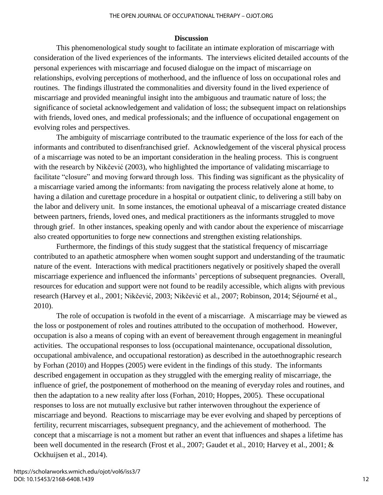#### **Discussion**

This phenomenological study sought to facilitate an intimate exploration of miscarriage with consideration of the lived experiences of the informants. The interviews elicited detailed accounts of the personal experiences with miscarriage and focused dialogue on the impact of miscarriage on relationships, evolving perceptions of motherhood, and the influence of loss on occupational roles and routines. The findings illustrated the commonalities and diversity found in the lived experience of miscarriage and provided meaningful insight into the ambiguous and traumatic nature of loss; the significance of societal acknowledgement and validation of loss; the subsequent impact on relationships with friends, loved ones, and medical professionals; and the influence of occupational engagement on evolving roles and perspectives.

The ambiguity of miscarriage contributed to the traumatic experience of the loss for each of the informants and contributed to disenfranchised grief. Acknowledgement of the visceral physical process of a miscarriage was noted to be an important consideration in the healing process. This is congruent with the research by Nikčević (2003), who highlighted the importance of validating miscarriage to facilitate "closure" and moving forward through loss. This finding was significant as the physicality of a miscarriage varied among the informants: from navigating the process relatively alone at home, to having a dilation and curettage procedure in a hospital or outpatient clinic, to delivering a still baby on the labor and delivery unit. In some instances, the emotional upheaval of a miscarriage created distance between partners, friends, loved ones, and medical practitioners as the informants struggled to move through grief. In other instances, speaking openly and with candor about the experience of miscarriage also created opportunities to forge new connections and strengthen existing relationships.

Furthermore, the findings of this study suggest that the statistical frequency of miscarriage contributed to an apathetic atmosphere when women sought support and understanding of the traumatic nature of the event. Interactions with medical practitioners negatively or positively shaped the overall miscarriage experience and influenced the informants' perceptions of subsequent pregnancies. Overall, resources for education and support were not found to be readily accessible, which aligns with previous research (Harvey et al., 2001; Nikčević, 2003; Nikčević et al., 2007; Robinson, 2014; Séjourné et al., 2010).

The role of occupation is twofold in the event of a miscarriage. A miscarriage may be viewed as the loss or postponement of roles and routines attributed to the occupation of motherhood. However, occupation is also a means of coping with an event of bereavement through engagement in meaningful activities. The occupational responses to loss (occupational maintenance, occupational dissolution, occupational ambivalence, and occupational restoration) as described in the autoethnographic research by Forhan (2010) and Hoppes (2005) were evident in the findings of this study. The informants described engagement in occupation as they struggled with the emerging reality of miscarriage, the influence of grief, the postponement of motherhood on the meaning of everyday roles and routines, and then the adaptation to a new reality after loss (Forhan, 2010; Hoppes, 2005). These occupational responses to loss are not mutually exclusive but rather interwoven throughout the experience of miscarriage and beyond. Reactions to miscarriage may be ever evolving and shaped by perceptions of fertility, recurrent miscarriages, subsequent pregnancy, and the achievement of motherhood. The concept that a miscarriage is not a moment but rather an event that influences and shapes a lifetime has been well documented in the research (Frost et al., 2007; Gaudet et al., 2010; Harvey et al., 2001; & Ockhuijsen et al., 2014).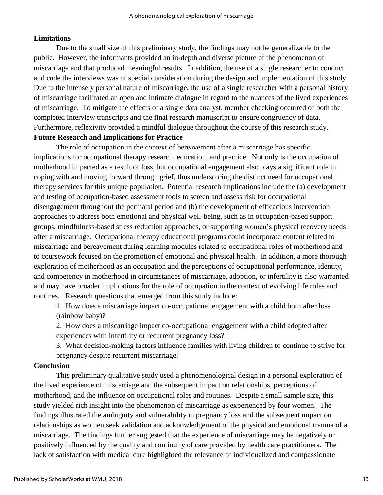### **Limitations**

Due to the small size of this preliminary study, the findings may not be generalizable to the public. However, the informants provided an in-depth and diverse picture of the phenomenon of miscarriage and that produced meaningful results. In addition, the use of a single researcher to conduct and code the interviews was of special consideration during the design and implementation of this study. Due to the intensely personal nature of miscarriage, the use of a single researcher with a personal history of miscarriage facilitated an open and intimate dialogue in regard to the nuances of the lived experiences of miscarriage. To mitigate the effects of a single data analyst, member checking occurred of both the completed interview transcripts and the final research manuscript to ensure congruency of data. Furthermore, reflexivity provided a mindful dialogue throughout the course of this research study. **Future Research and Implications for Practice**

The role of occupation in the context of bereavement after a miscarriage has specific implications for occupational therapy research, education, and practice. Not only is the occupation of motherhood impacted as a result of loss, but occupational engagement also plays a significant role in coping with and moving forward through grief, thus underscoring the distinct need for occupational therapy services for this unique population. Potential research implications include the (a) development and testing of occupation-based assessment tools to screen and assess risk for occupational disengagement throughout the perinatal period and (b) the development of efficacious intervention approaches to address both emotional and physical well-being, such as in occupation-based support groups, mindfulness-based stress reduction approaches, or supporting women's physical recovery needs after a miscarriage. Occupational therapy educational programs could incorporate content related to miscarriage and bereavement during learning modules related to occupational roles of motherhood and to coursework focused on the promotion of emotional and physical health. In addition, a more thorough exploration of motherhood as an occupation and the perceptions of occupational performance, identity, and competency in motherhood in circumstances of miscarriage, adoption, or infertility is also warranted and may have broader implications for the role of occupation in the context of evolving life roles and routines. Research questions that emerged from this study include:

1. How does a miscarriage impact co-occupational engagement with a child born after loss (rainbow baby)?

2. How does a miscarriage impact co-occupational engagement with a child adopted after experiences with infertility or recurrent pregnancy loss?

3. What decision-making factors influence families with living children to continue to strive for pregnancy despite recurrent miscarriage?

### **Conclusion**

This preliminary qualitative study used a phenomenological design in a personal exploration of the lived experience of miscarriage and the subsequent impact on relationships, perceptions of motherhood, and the influence on occupational roles and routines. Despite a small sample size, this study yielded rich insight into the phenomenon of miscarriage as experienced by four women. The findings illustrated the ambiguity and vulnerability in pregnancy loss and the subsequent impact on relationships as women seek validation and acknowledgement of the physical and emotional trauma of a miscarriage. The findings further suggested that the experience of miscarriage may be negatively or positively influenced by the quality and continuity of care provided by health care practitioners. The lack of satisfaction with medical care highlighted the relevance of individualized and compassionate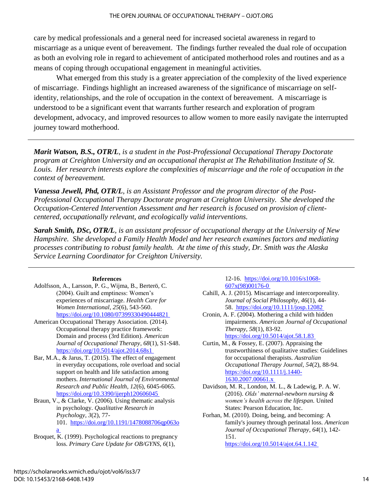care by medical professionals and a general need for increased societal awareness in regard to miscarriage as a unique event of bereavement. The findings further revealed the dual role of occupation as both an evolving role in regard to achievement of anticipated motherhood roles and routines and as a means of coping through occupational engagement in meaningful activities.

What emerged from this study is a greater appreciation of the complexity of the lived experience of miscarriage. Findings highlight an increased awareness of the significance of miscarriage on selfidentity, relationships, and the role of occupation in the context of bereavement. A miscarriage is understood to be a significant event that warrants further research and exploration of program development, advocacy, and improved resources to allow women to more easily navigate the interrupted journey toward motherhood.

*Marit Watson, B.S., OTR/L, is a student in the Post-Professional Occupational Therapy Doctorate program at Creighton University and an occupational therapist at The Rehabilitation Institute of St. Louis. Her research interests explore the complexities of miscarriage and the role of occupation in the context of bereavement.*

*Vanessa Jewell, Phd, OTR/L, is an Assistant Professor and the program director of the Post-Professional Occupational Therapy Doctorate program at Creighton University. She developed the Occupation-Centered Intervention Assessment and her research is focused on provision of clientcentered, occupationally relevant, and ecologically valid interventions.*

*Sarah Smith, DSc, OTR/L, is an assistant professor of occupational therapy at the University of New Hampshire. She developed a Family Health Model and her research examines factors and mediating processes contributing to robust family health. At the time of this study, Dr. Smith was the Alaska Service Learning Coordinator for Creighton University.*

#### **References**

- Adolfsson, A., Larsson, P. G., Wijma, B., Berterö, C. (2004). Guilt and emptiness: Women's experiences of miscarriage. *Health Care for Women International*, *25*(6), 543-560. [https://doi.org/10.1080/07399330490444821](https://doi.org/10.1080/07399330490444821 )
- American Occupational Therapy Association. (2014). Occupational therapy practice framework: Domain and process (3rd Edition). *American Journal of Occupational Therapy*, *68*(1), S1-S48. <https://doi.org/10.5014/ajot.2014.68s1>
- Bar, M.A., & Jarus, T. (2015). The effect of engagement in everyday occupations, role overload and social support on health and life satisfaction among mothers. *International Journal of Environmental Research and Public Health*, *12*(6), 6045-6065. <https://doi.org/10.3390/ijerph120606045>

Braun, V., & Clarke, V. (2006). Using thematic analysis in psychology. *Qualitative Research in Psychology*, *3*(2), 77- 101. [https://doi.org/10.1191/1478088706qp063o](https://doi.org/10.1191/1478088706qp063oa)

[a](https://doi.org/10.1191/1478088706qp063oa)

Broquet, K. (1999). Psychological reactions to pregnancy loss. *Primary Care Update for OB/GYNS*, *6*(1),

12-16. [https://doi.org/10.1016/s1068-](https://doi.org/10.1016/s1068-607x(98)00176-0) [607x\(98\)00176-0](https://doi.org/10.1016/s1068-607x(98)00176-0)

Cahill, A. J. (2015). Miscarriage and intercorporeality. *Journal of Social Philosophy*, *46*(1), 44- 58.<https://doi.org/10.1111/josp.12082>

Cronin, A. F. (2004). Mothering a child with hidden impairments. *American Journal of Occupational Therapy*, *58*(1), 83-92. [https://doi.org/10.5014/ajot.58.1.83](https://doi.org/10.5014/ajot.58.1.83 )

Curtin, M., & Fossey, E. (2007). Appraising the trustworthiness of qualitative studies: Guidelines for occupational therapists. *Australian Occupational Therapy Journal*, *54*(2), 88-94. [https://doi.org/10.1111/j.1440-](https://doi.org/10.1111/j.1440-1630.2007.00661.x) [1630.2007.00661.x](https://doi.org/10.1111/j.1440-1630.2007.00661.x)

- Davidson, M. R., London, M. L., & Ladewig, P. A. W. (2016). *Olds' maternal-newborn nursing & women's health across the lifespan.* United States: Pearson Education, Inc.
- Forhan, M. (2010). Doing, being, and becoming: A family's journey through perinatal loss. *American Journal of Occupational Therapy*, *64*(1), 142- 151. <https://doi.org/10.5014/ajot.64.1.142>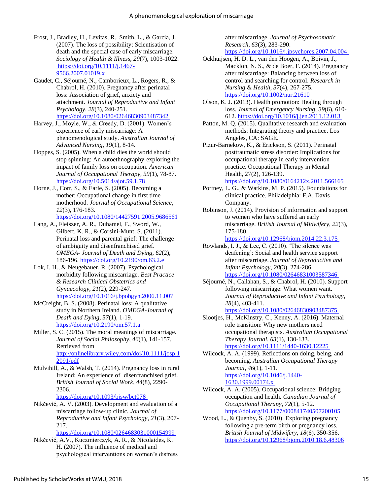- Frost, J., Bradley, H., Levitas, R., Smith, L., & Garcia, J. (2007). The loss of possibility: Scientisation of death and the special case of early miscarriage. *Sociology of Health & Illness*, *29*(7), 1003-1022. [https://doi.org/10.1111/j.1467-](https://doi.org/10.1111/j.1467-9566.2007.01019.x) [9566.2007.01019.x](https://doi.org/10.1111/j.1467-9566.2007.01019.x)
- Gaudet, C., Séjourné, N., Camborieux, L., Rogers, R., & Chabrol, H. (2010). Pregnancy after perinatal loss: Association of grief, anxiety and attachment. *Journal of Reproductive and Infant Psychology*, *28*(3), 240-251. <https://doi.org/10.1080/02646830903487342>
- Harvey, J., Moyle, W., & Creedy, D. (2001). Women's experience of early miscarriage: A phenomenological study. *Australian Journal of Advanced Nursing*, *19*(1), 8-14.
- Hoppes, S. (2005). When a child dies the world should stop spinning: An autoethnography exploring the impact of family loss on occupation. *American Journal of Occupational Therapy*, *59*(1), 78-87. <https://doi.org/10.5014/ajot.59.1.78>
- Horne, J., Corr, S., & Earle, S. (2005). Becoming a mother: Occupational change in first time motherhood. *Journal of Occupational Science*, *12*(3), 176-183. <https://doi.org/10.1080/14427591.2005.9686561>
- Lang, A., Fleiszer, A. R., Duhamel, F., Sword, W., Gilbert, K. R., & Corsini-Munt, S. (2011). Perinatal loss and parental grief: The challenge of ambiguity and disenfranchised grief. *OMEGA- Journal of Death and Dying*, *62*(2), 186-196.<https://doi.org/10.2190/om.63.2.e>
- Lok, I. H., & Neugebauer, R. (2007). Psychological morbidity following miscarriage. *Best Practice & Research Clinical Obstetrics and Gynaecology*, *21*(2), 229-247. <https://doi.org/10.1016/j.bpobgyn.2006.11.007>
- McCreight, B. S. (2008). Perinatal loss: A qualitative study in Northern Ireland. *OMEGA-Journal of Death and Dying*, *57*(1), 1-19. <https://doi.org/10.2190/om.57.1.a>
- Miller, S. C. (2015). The moral meanings of miscarriage. *Journal of Social Philosophy*, *46*(1), 141-157. Retrieved from [http://onlinelibrary.wiley.com/doi/10.1111/josp.1](http://onlinelibrary.wiley.com/doi/10.1111/josp.12091/pdf) [2091/pdf](http://onlinelibrary.wiley.com/doi/10.1111/josp.12091/pdf)
- Mulvihill, A., & Walsh, T. (2014). Pregnancy loss in rural Ireland: An experience of disenfranchised grief. *British Journal of Social Work*, *44*(8), 2290- 2306.

<https://doi.org/10.1093/bjsw/bct078>

Nikčević, A. V. (2003). Development and evaluation of a miscarriage follow-up clinic. *Journal of Reproductive and Infant Psychology*, *21*(3), 207- 217.

<https://doi.org/10.1080/0264683031000154999>

Nikčević, A.V., Kuczmierczyk, A. R., & Nicolaides, K. H. (2007). The influence of medical and psychological interventions on women's distress after miscarriage. *Journal of Psychosomatic Research*, *63*(3), 283-290. <https://doi.org/10.1016/j.jpsychores.2007.04.004>

- Ockhuijsen, H. D. L., van den Hoogen, A., Boivin, J., Macklon, N. S., & de Boer, F. (2014). Pregnancy after miscarriage: Balancing between loss of control and searching for control. *Research in Nursing & Health*, *37*(4), 267-275. <https://doi.org/10.1002/nur.21610>
- Olson, K. J. (2013). Health promotion: Healing through loss. *Journal of Emergency Nursing*, *39*(6), 610- 612.<https://doi.org/10.1016/j.jen.2011.12.013>
- Patton, M. Q. (2015). Qualitative research and evaluation methods: Integrating theory and practice. Los Angeles, CA: SAGE.
- Pizur-Barnekow, K., & Erickson, S. (2011). Perinatal posttraumatic stress disorder: Implications for occupational therapy in early intervention practice. Occupational Therapy in Mental Health, 27(2), 126-139.
- <https://doi.org/10.1080/0164212x.2011.566165> Portney, L. G., & Watkins, M. P. (2015). Foundations for clinical practice. Philadelphia: F.A. Davis Company.
- Robinson, J. (2014). Provision of information and support to women who have suffered an early miscarriage. *British Journal of Midwifery*, *22*(3), 175-180.

[https://doi.org/10.12968/bjom.2014.22.3.175](https://doi.org/10.12968/bjom.2014.22.3.175 )

- Rowlands, I. J., & Lee, C. (2010). 'The silence was deafening': Social and health service support after miscarriage. *Journal of Reproductive and Infant Psychology*, *28*(3), 274-286. <https://doi.org/10.1080/02646831003587346>
- Séjourné, N., Callahan, S., & Chabrol, H. (2010). Support following miscarriage: What women want. *Journal of Reproductive and Infant Psychology*, *28*(4), 403-411.

[https://doi.org/10.1080/02646830903487375](https://doi.org/10.1080/02646830903487375 )

- Slootjes, H., McKinstry, C., Kenny, A. (2016). Maternal role transition: Why new mothers need occupational therapists. *Australian Occupational Therapy Journal*, *63*(1), 130-133. <https://doi.org/10.1111/1440-1630.12225>
- Wilcock, A. A. (1999). Reflections on doing, being, and becoming. *Australian Occupational Therapy Journal*, *46*(1), 1-11. [https://doi.org/10.1046/j.1440-](https://doi.org/10.1046/j.1440-1630.1999.00174.x) [1630.1999.00174.x](https://doi.org/10.1046/j.1440-1630.1999.00174.x)
- Wilcock, A. A. (2005). Occupational science: Bridging occupation and health. *Canadian Journal of Occupational Therapy*, *72*(1), 5-12. <https://doi.org/10.1177/000841740507200105>
- Wood, L., & Quenby, S. (2010). Exploring pregnancy following a pre-term birth or pregnancy loss. *British Journal of Midwifery*, *18*(6), 350-356. <https://doi.org/10.12968/bjom.2010.18.6.48306>